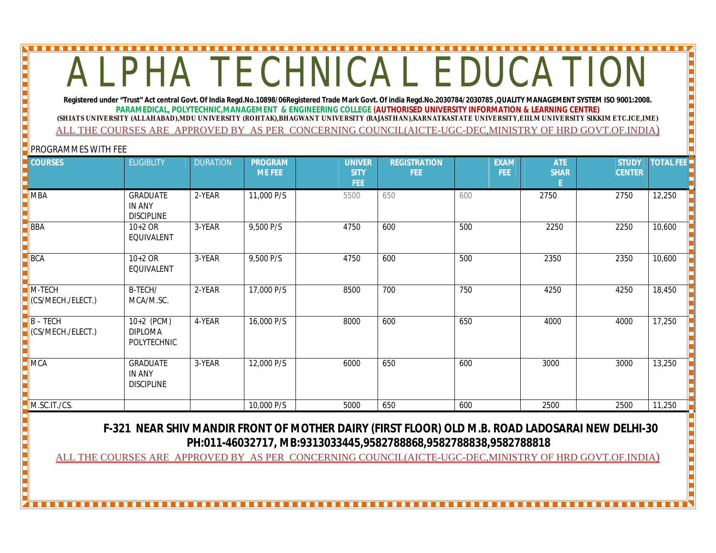**Registered under "Trust" Act central Govt. Of India Regd.No.10898/06Registered Trade Mark Govt. Of india Regd.No.2030784/2030785 ,QUALITY MANAGEMENT SYSTEM ISO 9001:2008. PARAMEDICAL, POLYTECHNIC,MANAGEMENT & ENGINEERING COLLEGE (AUTHORISED UNIVERSITY INFORMATION & LEARNING CENTRE) (SHIATS UNIVERSITY (ALLAHABAD),MDU UNIVERSITY (ROHTAK),BHAGWANT UNIVERSITY (RAJASTHAN),KARNATKASTATE UNIVERSITY,EIILM UNIVERSITY SIKKIM ETC.ICE,IME)** ALL THE COURSES ARE APPROVED BY AS PER CONCERNING COUNCIL(AICTE-UGC-DEC,MINISTRY OF HRD GOVT.OF.INDIA)

#### PROGRAMMES WITH FEE

| $\blacksquare$ COURSES          | <b>ELIGIBLITY</b>                                     | <b>DURATION</b> | <b>PROGRAM</b><br>ME FEE | <b>UNIVER</b><br><b>SITY</b><br>FEE | <b>REGISTRATION</b><br>FEE: | <b>EXAM</b><br>FEE | <b>ATE</b><br><b>SHAR</b> | <b>STUDY</b><br><b>CENTER</b> | <b>TOTAL FEE</b> |
|---------------------------------|-------------------------------------------------------|-----------------|--------------------------|-------------------------------------|-----------------------------|--------------------|---------------------------|-------------------------------|------------------|
| <b>MBA</b>                      | GRADUATE<br><b>IN ANY</b><br><b>DISCIPLINE</b>        | 2-YEAR          | 11,000 P/S               | 5500                                | 650                         | 600                | 2750                      | 2750                          | 12,250           |
| <b>BBA</b>                      | $10+2$ OR<br>EQUIVALENT                               | 3-YEAR          | 9,500 P/S                | 4750                                | 600                         | 500                | 2250                      | 2250                          | 10,600           |
| <b>BCA</b>                      | $10+2$ OR<br>EQUIVALENT                               | 3-YEAR          | 9,500 P/S                | 4750                                | 600                         | 500                | 2350                      | 2350                          | 10,600           |
| M-TECH<br>(CS/MECH./ELECT.)     | B-TECH/<br>MCA/M.SC.                                  | 2-YEAR          | 17,000 P/S               | 8500                                | 700                         | 750                | 4250                      | 4250                          | 18,450           |
| $B - TECH$<br>(CS/MECH./ELECT.) | 10+2 (PCM)<br><b>DIPLOMA</b><br><b>POLYTECHNIC</b>    | 4-YEAR          | 16,000 P/S               | 8000                                | 600                         | 650                | 4000                      | 4000                          | 17,250           |
| <b>MCA</b>                      | <b>GRADUATE</b><br><b>IN ANY</b><br><b>DISCIPLINE</b> | 3-YEAR          | 12,000 P/S               | 6000                                | 650                         | 600                | 3000                      | 3000                          | 13,250           |
| M.SC.IT./CS.                    |                                                       |                 | 10,000 P/S               | 5000                                | 650                         | 600                | 2500                      | 2500                          | 11,250           |

 **F-321 NEAR SHIV MANDIR FRONT OF MOTHER DAIRY (FIRST FLOOR) OLD M.B. ROAD LADOSARAI NEW DELHI-30 PH:011-46032717, MB:9313033445,9582788868,9582788838,9582788818**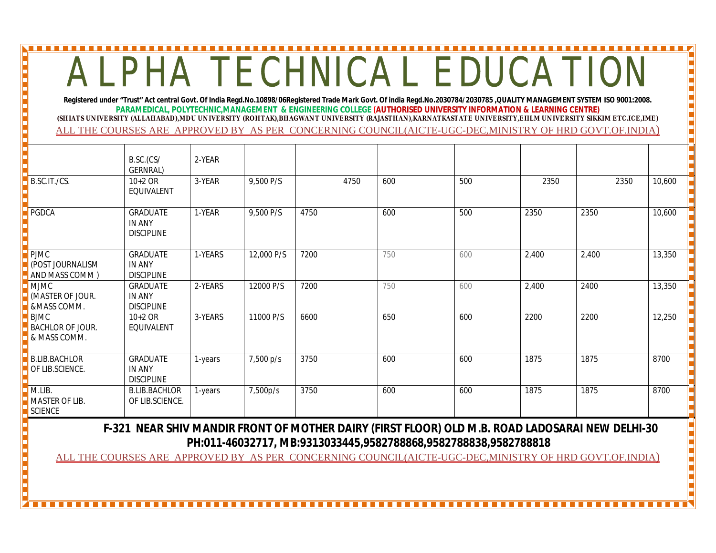**Registered under "Trust" Act central Govt. Of India Regd.No.10898/06Registered Trade Mark Govt. Of india Regd.No.2030784/2030785 ,QUALITY MANAGEMENT SYSTEM ISO 9001:2008. PARAMEDICAL, POLYTECHNIC,MANAGEMENT & ENGINEERING COLLEGE (AUTHORISED UNIVERSITY INFORMATION & LEARNING CENTRE) (SHIATS UNIVERSITY (ALLAHABAD),MDU UNIVERSITY (ROHTAK),BHAGWANT UNIVERSITY (RAJASTHAN),KARNATKASTATE UNIVERSITY,EIILM UNIVERSITY SIKKIM ETC.ICE,IME)** ALL THE COURSES ARE APPROVED BY AS PER CONCERNING COUNCIL(AICTE-UGC-DEC,MINISTRY OF HRD GOVT.OF.INDIA)

|                                                        | B.SC.(CS/<br>GERNRAL)                                 | 2-YEAR  |            |      |     |     |       |       |        |
|--------------------------------------------------------|-------------------------------------------------------|---------|------------|------|-----|-----|-------|-------|--------|
| B.SC.IT./CS.                                           | $10+2$ OR<br>EQUIVALENT                               | 3-YEAR  | 9,500 P/S  | 4750 | 600 | 500 | 2350  | 2350  | 10,600 |
| PGDCA                                                  | <b>GRADUATE</b><br>IN ANY<br><b>DISCIPLINE</b>        | 1-YEAR  | 9,500 P/S  | 4750 | 600 | 500 | 2350  | 2350  | 10,600 |
| <b>PJMC</b><br>(POST JOURNALISM<br>AND MASS COMM)      | <b>GRADUATE</b><br>IN ANY<br><b>DISCIPLINE</b>        | 1-YEARS | 12,000 P/S | 7200 | 750 | 600 | 2,400 | 2,400 | 13,350 |
| MJMC<br>(MASTER OF JOUR.<br>&MASS COMM.                | <b>GRADUATE</b><br>IN ANY<br><b>DISCIPLINE</b>        | 2-YEARS | 12000 P/S  | 7200 | 750 | 600 | 2,400 | 2400  | 13,350 |
| <b>BJMC</b><br><b>BACHLOR OF JOUR.</b><br>& MASS COMM. | $10+2$ OR<br>EQUIVALENT                               | 3-YEARS | 11000 P/S  | 6600 | 650 | 600 | 2200  | 2200  | 12,250 |
| <b>B.LIB.BACHLOR</b><br>OF LIB.SCIENCE.                | <b>GRADUATE</b><br><b>IN ANY</b><br><b>DISCIPLINE</b> | 1-years | 7,500 p/s  | 3750 | 600 | 600 | 1875  | 1875  | 8700   |
| M.LIB.<br>MASTER OF LIB.<br><b>SCIENCE</b>             | <b>B.LIB.BACHLOR</b><br>OF LIB.SCIENCE.               | 1-years | 7,500p/s   | 3750 | 600 | 600 | 1875  | 1875  | 8700   |

 **F-321 NEAR SHIV MANDIR FRONT OF MOTHER DAIRY (FIRST FLOOR) OLD M.B. ROAD LADOSARAI NEW DELHI-30 PH:011-46032717, MB:9313033445,9582788868,9582788838,9582788818**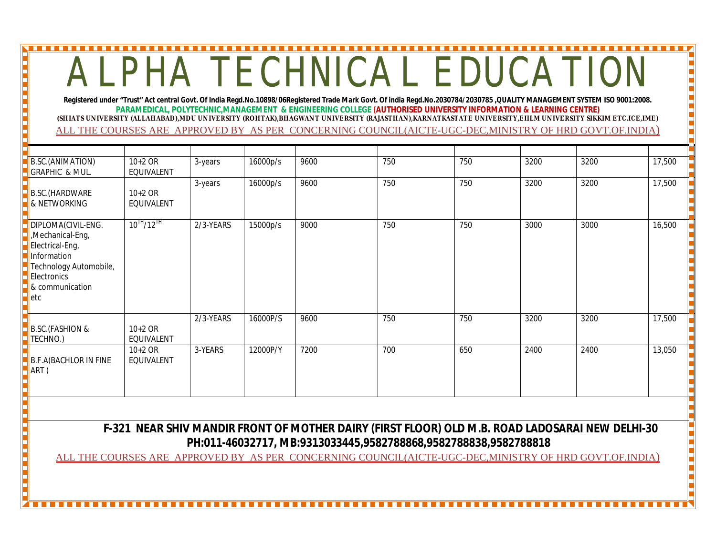**Registered under "Trust" Act central Govt. Of India Regd.No.10898/06Registered Trade Mark Govt. Of india Regd.No.2030784/2030785 ,QUALITY MANAGEMENT SYSTEM ISO 9001:2008. PARAMEDICAL, POLYTECHNIC,MANAGEMENT & ENGINEERING COLLEGE (AUTHORISED UNIVERSITY INFORMATION & LEARNING CENTRE) (SHIATS UNIVERSITY (ALLAHABAD),MDU UNIVERSITY (ROHTAK),BHAGWANT UNIVERSITY (RAJASTHAN),KARNATKASTATE UNIVERSITY,EIILM UNIVERSITY SIKKIM ETC.ICE,IME)** ALL THE COURSES ARE APPROVED BY AS PER CONCERNING COUNCIL(AICTE-UGC-DEC,MINISTRY OF HRD GOVT.OF.INDIA)

| B.SC.(ANIMATION)<br><b>GRAPHIC &amp; MUL.</b>                                                                                                | $10+2$ OR<br>EQUIVALENT | 3-years   | 16000p/s | 9600 | 750 | 750 | 3200 | 3200 | 17,500 |
|----------------------------------------------------------------------------------------------------------------------------------------------|-------------------------|-----------|----------|------|-----|-----|------|------|--------|
| B.SC.(HARDWARE<br>& NETWORKING                                                                                                               | $10+2$ OR<br>EQUIVALENT | 3-years   | 16000p/s | 9600 | 750 | 750 | 3200 | 3200 | 17,500 |
| DIPLOMA(CIVIL-ENG.<br>,Mechanical-Eng,<br>Electrical-Eng,<br>Information<br>Technology Automobile,<br>Electronics<br>& communication<br>letc | $10^{1H}/12^{1H}$       | 2/3-YEARS | 15000p/s | 9000 | 750 | 750 | 3000 | 3000 | 16,500 |
| <b>B.SC.(FASHION &amp;</b><br>TECHNO.)                                                                                                       | $10+2$ OR<br>EQUIVALENT | 2/3-YEARS | 16000P/S | 9600 | 750 | 750 | 3200 | 3200 | 17,500 |
| <b>B.F.A(BACHLOR IN FINE</b><br>ART)                                                                                                         | $10+2$ OR<br>EQUIVALENT | 3-YEARS   | 12000P/Y | 7200 | 700 | 650 | 2400 | 2400 | 13,050 |

 **F-321 NEAR SHIV MANDIR FRONT OF MOTHER DAIRY (FIRST FLOOR) OLD M.B. ROAD LADOSARAI NEW DELHI-30 PH:011-46032717, MB:9313033445,9582788868,9582788838,9582788818**

ALL THE COURSES ARE APPROVED BY AS PER CONCERNING COUNCIL(AICTE-UGC-DEC,MINISTRY OF HRD GOVT.OF.INDIA)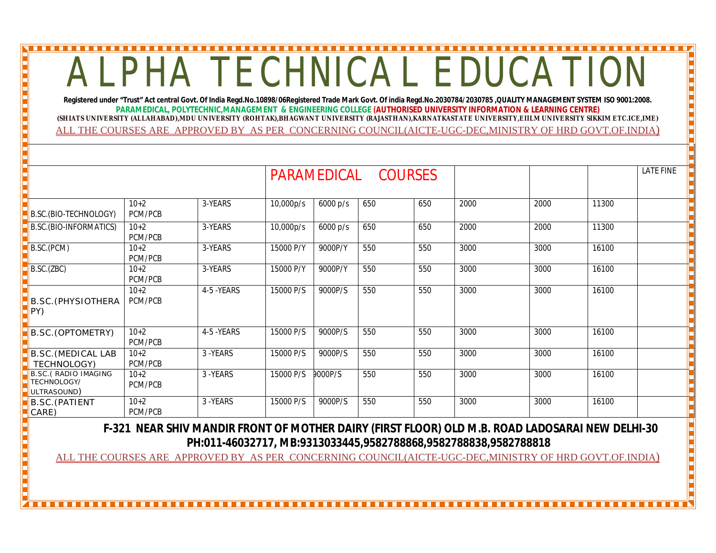**Registered under "Trust" Act central Govt. Of India Regd.No.10898/06Registered Trade Mark Govt. Of india Regd.No.2030784/2030785 ,QUALITY MANAGEMENT SYSTEM ISO 9001:2008. PARAMEDICAL, POLYTECHNIC,MANAGEMENT & ENGINEERING COLLEGE (AUTHORISED UNIVERSITY INFORMATION & LEARNING CENTRE) (SHIATS UNIVERSITY (ALLAHABAD),MDU UNIVERSITY (ROHTAK),BHAGWANT UNIVERSITY (RAJASTHAN),KARNATKASTATE UNIVERSITY,EIILM UNIVERSITY SIKKIM ETC.ICE,IME)** ALL THE COURSES ARE APPROVED BY AS PER CONCERNING COUNCIL(AICTE-UGC-DEC,MINISTRY OF HRD GOVT.OF.INDIA)

|                                                           |                   |             | <b>PARAMEDICAL</b> |          | <b>COURSES</b> |     |      |      |       | <b>LATE FINE</b> |
|-----------------------------------------------------------|-------------------|-------------|--------------------|----------|----------------|-----|------|------|-------|------------------|
| B.SC.(BIO-TECHNOLOGY)                                     | $10+2$<br>PCM/PCB | 3-YEARS     | 10,000p/s          | 6000 p/s | 650            | 650 | 2000 | 2000 | 11300 |                  |
| B.SC. (BIO-INFORMATICS)                                   | $10+2$<br>PCM/PCB | 3-YEARS     | 10,000p/s          | 6000 p/s | 650            | 650 | 2000 | 2000 | 11300 |                  |
| B.SC.(PCM)                                                | $10+2$<br>PCM/PCB | 3-YEARS     | 15000 P/Y          | 9000P/Y  | 550            | 550 | 3000 | 3000 | 16100 |                  |
| B.SC.(ZBC)                                                | $10+2$<br>PCM/PCB | 3-YEARS     | 15000 P/Y          | 9000P/Y  | 550            | 550 | 3000 | 3000 | 16100 |                  |
| <b>B.SC. (PHYSIOTHERA</b><br>PY)                          | $10+2$<br>PCM/PCB | 4-5 - YEARS | 15000 P/S          | 9000P/S  | 550            | 550 | 3000 | 3000 | 16100 |                  |
| B.SC. (OPTOMETRY)                                         | $10+2$<br>PCM/PCB | 4-5 - YEARS | 15000 P/S          | 9000P/S  | 550            | 550 | 3000 | 3000 | 16100 |                  |
| <b>B.SC.</b> (MEDICAL LAB<br>TECHNOLOGY)                  | $10+2$<br>PCM/PCB | 3-YEARS     | 15000 P/S          | 9000P/S  | 550            | 550 | 3000 | 3000 | 16100 |                  |
| <b>B.SC.( RADIO IMAGING</b><br>TECHNOLOGY/<br>ULTRASOUND) | $10+2$<br>PCM/PCB | 3-YEARS     | 15000 P/S          | 9000P/S  | 550            | 550 | 3000 | 3000 | 16100 |                  |
| <b>B.SC. (PATIENT</b><br>CARE)                            | $10+2$<br>PCM/PCB | 3-YEARS     | 15000 P/S          | 9000P/S  | 550            | 550 | 3000 | 3000 | 16100 |                  |

 **F-321 NEAR SHIV MANDIR FRONT OF MOTHER DAIRY (FIRST FLOOR) OLD M.B. ROAD LADOSARAI NEW DELHI-30 PH:011-46032717, MB:9313033445,9582788868,9582788838,9582788818**

ALL THE COURSES ARE APPROVED BY AS PER CONCERNING COUNCIL(AICTE-UGC-DEC,MINISTRY OF HRD GOVT.OF.INDIA)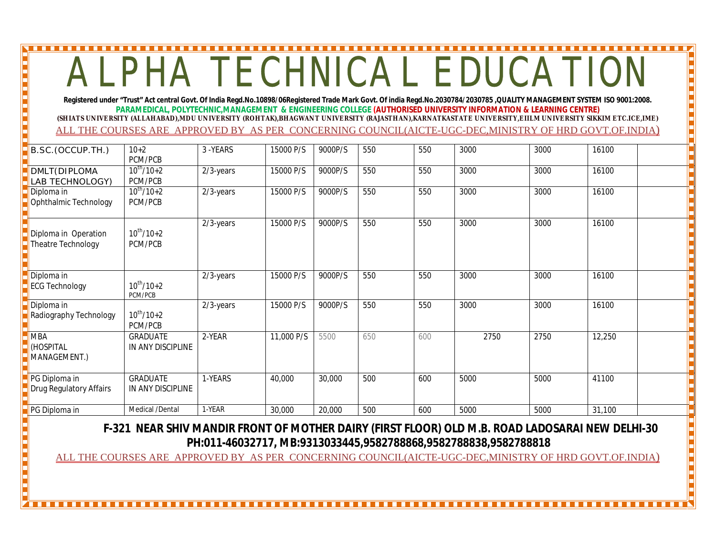**Registered under "Trust" Act central Govt. Of India Regd.No.10898/06Registered Trade Mark Govt. Of india Regd.No.2030784/2030785 ,QUALITY MANAGEMENT SYSTEM ISO 9001:2008. PARAMEDICAL, POLYTECHNIC,MANAGEMENT & ENGINEERING COLLEGE (AUTHORISED UNIVERSITY INFORMATION & LEARNING CENTRE) (SHIATS UNIVERSITY (ALLAHABAD),MDU UNIVERSITY (ROHTAK),BHAGWANT UNIVERSITY (RAJASTHAN),KARNATKASTATE UNIVERSITY,EIILM UNIVERSITY SIKKIM ETC.ICE,IME)** ALL THE COURSES ARE APPROVED BY AS PER CONCERNING COUNCIL(AICTE-UGC-DEC,MINISTRY OF HRD GOVT.OF.INDIA)

| B.SC. (OCCUP.TH.)                          | $10+2$                               | 3-YEARS      | 15000 P/S  | 9000P/S | 550 | 550 | 3000 | 3000 | 16100  |  |
|--------------------------------------------|--------------------------------------|--------------|------------|---------|-----|-----|------|------|--------|--|
|                                            | PCM/PCB                              |              |            |         |     |     |      |      |        |  |
| DMLT(DIPLOMA<br>LAB TECHNOLOGY)            | $10^{th}/10+2$<br>PCM/PCB            | $2/3$ -years | 15000 P/S  | 9000P/S | 550 | 550 | 3000 | 3000 | 16100  |  |
| Diploma in<br>Ophthalmic Technology        | $10^{th}/10+2$<br>PCM/PCB            | $2/3$ -years | 15000 P/S  | 9000P/S | 550 | 550 | 3000 | 3000 | 16100  |  |
| Diploma in Operation<br>Theatre Technology | $10^{th}/10+2$<br>PCM/PCB            | $2/3$ -years | 15000 P/S  | 9000P/S | 550 | 550 | 3000 | 3000 | 16100  |  |
| Diploma in<br><b>ECG Technology</b>        | $10^{th}/10+2$<br>PCM/PCB            | $2/3$ -years | 15000 P/S  | 9000P/S | 550 | 550 | 3000 | 3000 | 16100  |  |
| Diploma in<br>Radiography Technology       | $10^{th}/10+2$<br>PCM/PCB            | $2/3$ -years | 15000 P/S  | 9000P/S | 550 | 550 | 3000 | 3000 | 16100  |  |
| <b>MBA</b><br>(HOSPITAL<br>MANAGEMENT.)    | <b>GRADUATE</b><br>IN ANY DISCIPLINE | 2-YEAR       | 11,000 P/S | 5500    | 650 | 600 | 2750 | 2750 | 12,250 |  |
| PG Diploma in<br>Drug Regulatory Affairs   | <b>GRADUATE</b><br>IN ANY DISCIPLINE | 1-YEARS      | 40,000     | 30,000  | 500 | 600 | 5000 | 5000 | 41100  |  |
| PG Diploma in                              | Medical /Dental                      | 1-YEAR       | 30,000     | 20,000  | 500 | 600 | 5000 | 5000 | 31,100 |  |

 **F-321 NEAR SHIV MANDIR FRONT OF MOTHER DAIRY (FIRST FLOOR) OLD M.B. ROAD LADOSARAI NEW DELHI-30 PH:011-46032717, MB:9313033445,9582788868,9582788838,9582788818**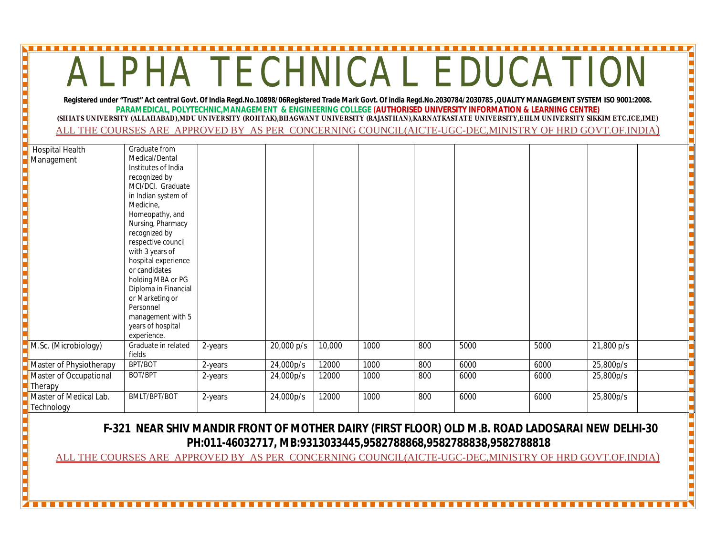| ALPHA TECHNICAL EDUCATION<br>Registered under "Trust" Act central Govt. Of India Regd.No.10898/06Registered Trade Mark Govt. Of india Regd.No.2030784/2030785 ,QUALITY MANAGEMENT SYSTEM ISO 9001:2008.<br>PARAMEDICAL, POLYTECHNIC, MANAGEMENT & ENGINEERING COLLEGE (AUTHORISED UNIVERSITY INFORMATION & LEARNING CENTRE)<br>(SHIATS UNIVERSITY (ALLAHABAD),MDU UNIVERSITY (ROHTAK),BHAGWANT UNIVERSITY (RAJASTHAN),KARNATKASTATE UNIVERSITY,EIILM UNIVERSITY SIKKIM ETC.ICE,IME)<br>ALL THE COURSES ARE APPROVED BY AS PER CONCERNING COUNCIL(AICTE-UGC-DEC, MINISTRY OF HRD GOVT.OF.INDIA) |                                                                                                                                                                                                                                                                                                                                                                                                                  |         |            |        |      |     |      |      |            |  |  |
|------------------------------------------------------------------------------------------------------------------------------------------------------------------------------------------------------------------------------------------------------------------------------------------------------------------------------------------------------------------------------------------------------------------------------------------------------------------------------------------------------------------------------------------------------------------------------------------------|------------------------------------------------------------------------------------------------------------------------------------------------------------------------------------------------------------------------------------------------------------------------------------------------------------------------------------------------------------------------------------------------------------------|---------|------------|--------|------|-----|------|------|------------|--|--|
| <b>Hospital Health</b><br>Management                                                                                                                                                                                                                                                                                                                                                                                                                                                                                                                                                           | Graduate from<br>Medical/Dental<br>Institutes of India<br>recognized by<br>MCI/DCI. Graduate<br>in Indian system of<br>Medicine,<br>Homeopathy, and<br>Nursing, Pharmacy<br>recognized by<br>respective council<br>with 3 years of<br>hospital experience<br>or candidates<br>holding MBA or PG<br>Diploma in Financial<br>or Marketing or<br>Personnel<br>management with 5<br>years of hospital<br>experience. |         |            |        |      |     |      |      |            |  |  |
| M.Sc. (Microbiology)                                                                                                                                                                                                                                                                                                                                                                                                                                                                                                                                                                           | Graduate in related<br>fields                                                                                                                                                                                                                                                                                                                                                                                    | 2-years | 20,000 p/s | 10,000 | 1000 | 800 | 5000 | 5000 | 21,800 p/s |  |  |
| Master of Physiotherapy                                                                                                                                                                                                                                                                                                                                                                                                                                                                                                                                                                        | BPT/BOT                                                                                                                                                                                                                                                                                                                                                                                                          | 2-years | 24,000p/s  | 12000  | 1000 | 800 | 6000 | 6000 | 25,800p/s  |  |  |
| Master of Occupational<br>Therapy                                                                                                                                                                                                                                                                                                                                                                                                                                                                                                                                                              | BOT/BPT                                                                                                                                                                                                                                                                                                                                                                                                          | 2-years | 24,000p/s  | 12000  | 1000 | 800 | 6000 | 6000 | 25,800p/s  |  |  |
| Master of Medical Lab.<br>Technology                                                                                                                                                                                                                                                                                                                                                                                                                                                                                                                                                           | BMLT/BPT/BOT                                                                                                                                                                                                                                                                                                                                                                                                     | 2-years | 24,000p/s  | 12000  | 1000 | 800 | 6000 | 6000 | 25,800p/s  |  |  |

 **F-321 NEAR SHIV MANDIR FRONT OF MOTHER DAIRY (FIRST FLOOR) OLD M.B. ROAD LADOSARAI NEW DELHI-30 PH:011-46032717, MB:9313033445,9582788868,9582788838,9582788818**

<u>The property</u>

ALL THE COURSES ARE APPROVED BY AS PER CONCERNING COUNCIL(AICTE-UGC-DEC,MINISTRY OF HRD GOVT.OF.INDIA)

. . . .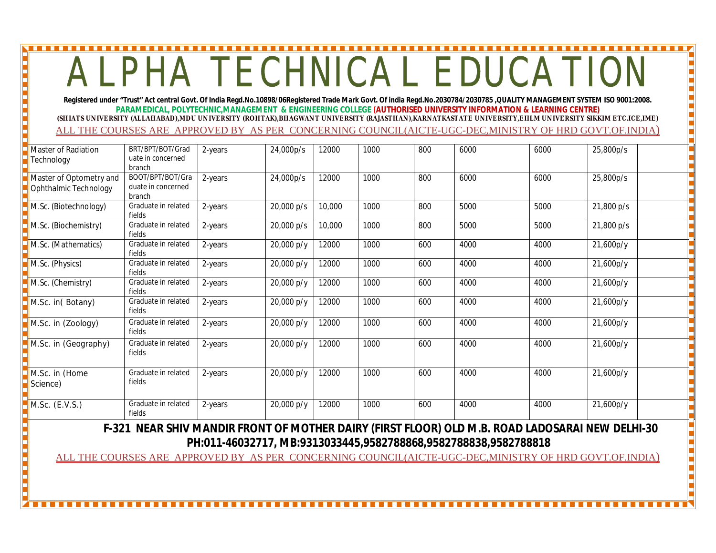**Registered under "Trust" Act central Govt. Of India Regd.No.10898/06Registered Trade Mark Govt. Of india Regd.No.2030784/2030785 ,QUALITY MANAGEMENT SYSTEM ISO 9001:2008. PARAMEDICAL, POLYTECHNIC,MANAGEMENT & ENGINEERING COLLEGE (AUTHORISED UNIVERSITY INFORMATION & LEARNING CENTRE) (SHIATS UNIVERSITY (ALLAHABAD),MDU UNIVERSITY (ROHTAK),BHAGWANT UNIVERSITY (RAJASTHAN),KARNATKASTATE UNIVERSITY,EIILM UNIVERSITY SIKKIM ETC.ICE,IME)** ALL THE COURSES ARE APPROVED BY AS PER CONCERNING COUNCIL(AICTE-UGC-DEC,MINISTRY OF HRD GOVT.OF.INDIA)

| <b>Master of Radiation</b><br>Technology         | BRT/BPT/BOT/Grad<br>uate in concerned<br>branch  | 2-years | 24,000p/s  | 12000  | 1000 | 800 | 6000 | 6000 | 25,800p/s  |
|--------------------------------------------------|--------------------------------------------------|---------|------------|--------|------|-----|------|------|------------|
| Master of Optometry and<br>Ophthalmic Technology | BOOT/BPT/BOT/Gra<br>duate in concerned<br>branch | 2-years | 24,000p/s  | 12000  | 1000 | 800 | 6000 | 6000 | 25,800p/s  |
| M.Sc. (Biotechnology)                            | Graduate in related<br>fields                    | 2-years | 20,000 p/s | 10,000 | 1000 | 800 | 5000 | 5000 | 21,800 p/s |
| M.Sc. (Biochemistry)                             | Graduate in related<br>fields                    | 2-years | 20,000 p/s | 10,000 | 1000 | 800 | 5000 | 5000 | 21,800 p/s |
| M.Sc. (Mathematics)                              | Graduate in related<br>fields                    | 2-years | 20,000 p/y | 12000  | 1000 | 600 | 4000 | 4000 | 21,600p/y  |
| M.Sc. (Physics)                                  | Graduate in related<br>fields                    | 2-years | 20,000 p/y | 12000  | 1000 | 600 | 4000 | 4000 | 21,600p/y  |
| M.Sc. (Chemistry)                                | Graduate in related<br>fields                    | 2-years | 20,000 p/y | 12000  | 1000 | 600 | 4000 | 4000 | 21,600p/y  |
| M.Sc. in(Botany)                                 | Graduate in related<br>fields                    | 2-years | 20,000 p/y | 12000  | 1000 | 600 | 4000 | 4000 | 21,600p/y  |
| M.Sc. in (Zoology)                               | Graduate in related<br>fields                    | 2-years | 20,000 p/y | 12000  | 1000 | 600 | 4000 | 4000 | 21,600p/y  |
| M.Sc. in (Geography)                             | Graduate in related<br>fields                    | 2-years | 20,000 p/y | 12000  | 1000 | 600 | 4000 | 4000 | 21,600p/y  |
| M.Sc. in (Home<br>Science)                       | Graduate in related<br>fields                    | 2-years | 20,000 p/y | 12000  | 1000 | 600 | 4000 | 4000 | 21,600p/y  |
| M.Sc. (E.V.S.)                                   | Graduate in related<br>fields                    | 2-years | 20,000 p/y | 12000  | 1000 | 600 | 4000 | 4000 | 21,600p/y  |

 **F-321 NEAR SHIV MANDIR FRONT OF MOTHER DAIRY (FIRST FLOOR) OLD M.B. ROAD LADOSARAI NEW DELHI-30 PH:011-46032717, MB:9313033445,9582788868,9582788838,9582788818**

ALL THE COURSES ARE APPROVED BY AS PER CONCERNING COUNCIL(AICTE-UGC-DEC,MINISTRY OF HRD GOVT.OF.INDIA)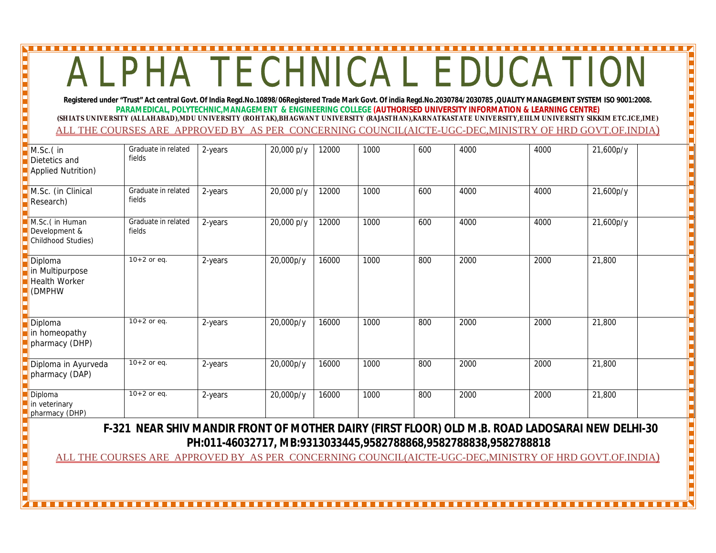**Registered under "Trust" Act central Govt. Of India Regd.No.10898/06Registered Trade Mark Govt. Of india Regd.No.2030784/2030785 ,QUALITY MANAGEMENT SYSTEM ISO 9001:2008. PARAMEDICAL, POLYTECHNIC,MANAGEMENT & ENGINEERING COLLEGE (AUTHORISED UNIVERSITY INFORMATION & LEARNING CENTRE) (SHIATS UNIVERSITY (ALLAHABAD),MDU UNIVERSITY (ROHTAK),BHAGWANT UNIVERSITY (RAJASTHAN),KARNATKASTATE UNIVERSITY,EIILM UNIVERSITY SIKKIM ETC.ICE,IME)** ALL THE COURSES ARE APPROVED BY AS PER CONCERNING COUNCIL(AICTE-UGC-DEC,MINISTRY OF HRD GOVT.OF.INDIA)

| M.Sc.(in<br>Dietetics and<br>Applied Nutrition)       | Graduate in related<br>fields | 2-years | 20,000 p/y | 12000 | 1000 | 600 | 4000 | 4000 | 21,600p/y |
|-------------------------------------------------------|-------------------------------|---------|------------|-------|------|-----|------|------|-----------|
| M.Sc. (in Clinical<br>Research)                       | Graduate in related<br>fields | 2-years | 20,000 p/y | 12000 | 1000 | 600 | 4000 | 4000 | 21,600p/y |
| M.Sc.(in Human<br>Development &<br>Childhood Studies) | Graduate in related<br>fields | 2-years | 20,000 p/y | 12000 | 1000 | 600 | 4000 | 4000 | 21,600p/y |
| Diploma<br>in Multipurpose<br>Health Worker<br>(DMPHW | $10+2$ or eq.                 | 2-years | 20,000p/y  | 16000 | 1000 | 800 | 2000 | 2000 | 21,800    |
| Diploma<br>in homeopathy<br>pharmacy (DHP)            | $10+2$ or eq.                 | 2-years | 20,000p/y  | 16000 | 1000 | 800 | 2000 | 2000 | 21,800    |
| Diploma in Ayurveda<br>pharmacy (DAP)                 | $10+2$ or eq.                 | 2-years | 20,000p/y  | 16000 | 1000 | 800 | 2000 | 2000 | 21,800    |
| Diploma<br>in veterinary<br>pharmacy (DHP)            | $10+2$ or eq.                 | 2-years | 20,000p/y  | 16000 | 1000 | 800 | 2000 | 2000 | 21,800    |

 **F-321 NEAR SHIV MANDIR FRONT OF MOTHER DAIRY (FIRST FLOOR) OLD M.B. ROAD LADOSARAI NEW DELHI-30 PH:011-46032717, MB:9313033445,9582788868,9582788838,9582788818**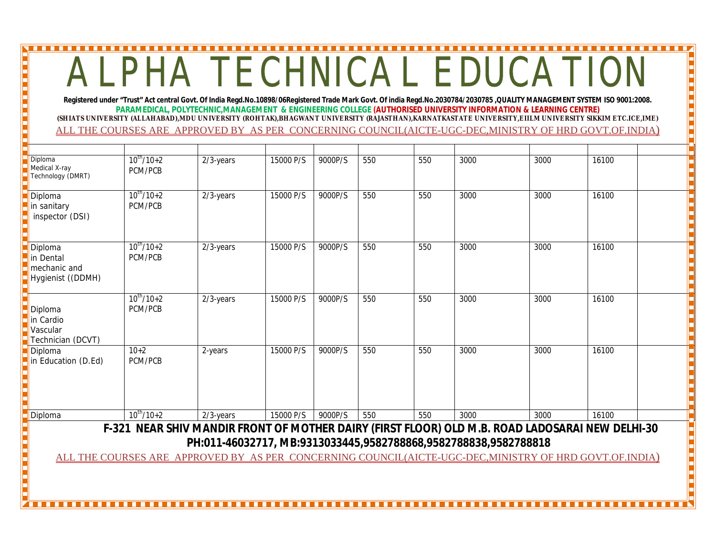# HA TECHNICAL EDUCATION

**Registered under "Trust" Act central Govt. Of India Regd.No.10898/06Registered Trade Mark Govt. Of india Regd.No.2030784/2030785 ,QUALITY MANAGEMENT SYSTEM ISO 9001:2008. PARAMEDICAL, POLYTECHNIC,MANAGEMENT & ENGINEERING COLLEGE (AUTHORISED UNIVERSITY INFORMATION & LEARNING CENTRE) (SHIATS UNIVERSITY (ALLAHABAD),MDU UNIVERSITY (ROHTAK),BHAGWANT UNIVERSITY (RAJASTHAN),KARNATKASTATE UNIVERSITY,EIILM UNIVERSITY SIKKIM ETC.ICE,IME)** ALL THE COURSES ARE APPROVED BY AS PER CONCERNING COUNCIL(AICTE-UGC-DEC,MINISTRY OF HRD GOVT.OF.INDIA)

| Diploma<br>Medical X-ray<br>Technology (DMRT)             | $10^{th}/10+2$<br>PCM/PCB | $2/3$ -years | 15000 P/S | 9000P/S | 550 | 550 | 3000                                                                                                                                                                                                                                                                          | 3000 | 16100 |  |
|-----------------------------------------------------------|---------------------------|--------------|-----------|---------|-----|-----|-------------------------------------------------------------------------------------------------------------------------------------------------------------------------------------------------------------------------------------------------------------------------------|------|-------|--|
| Diploma<br>in sanitary<br>inspector (DSI)                 | $10^{th}/10+2$<br>PCM/PCB | $2/3$ -years | 15000 P/S | 9000P/S | 550 | 550 | 3000                                                                                                                                                                                                                                                                          | 3000 | 16100 |  |
| Diploma<br>in Dental<br>mechanic and<br>Hygienist ((DDMH) | $10^{th}/10+2$<br>PCM/PCB | $2/3$ -years | 15000 P/S | 9000P/S | 550 | 550 | 3000                                                                                                                                                                                                                                                                          | 3000 | 16100 |  |
| Diploma<br>in Cardio<br>Vascular<br>Technician (DCVT)     | $10^{th}/10+2$<br>PCM/PCB | $2/3$ -years | 15000 P/S | 9000P/S | 550 | 550 | 3000                                                                                                                                                                                                                                                                          | 3000 | 16100 |  |
| Diploma<br>in Education (D.Ed)                            | $10+2$<br>PCM/PCB         | 2-years      | 15000 P/S | 9000P/S | 550 | 550 | 3000                                                                                                                                                                                                                                                                          | 3000 | 16100 |  |
| Diploma                                                   | $10^{th}/10+2$            | $2/3$ -years | 15000 P/S | 9000P/S | 550 | 550 | 3000                                                                                                                                                                                                                                                                          | 3000 | 16100 |  |
|                                                           |                           |              |           |         |     |     | F-321 NEAR SHIV MANDIR FRONT OF MOTHER DAIRY (FIRST FLOOR) OLD M.B. ROAD LADOSARAI NEW DELHI-30<br>PH:011-46032717, MB:9313033445,9582788868,9582788838,9582788818<br>ALL THE COURSES ARE APPROVED BY AS PER CONCERNING COUNCIL(AICTE-UGC-DEC, MINISTRY OF HRD GOVT.OF.INDIA) |      |       |  |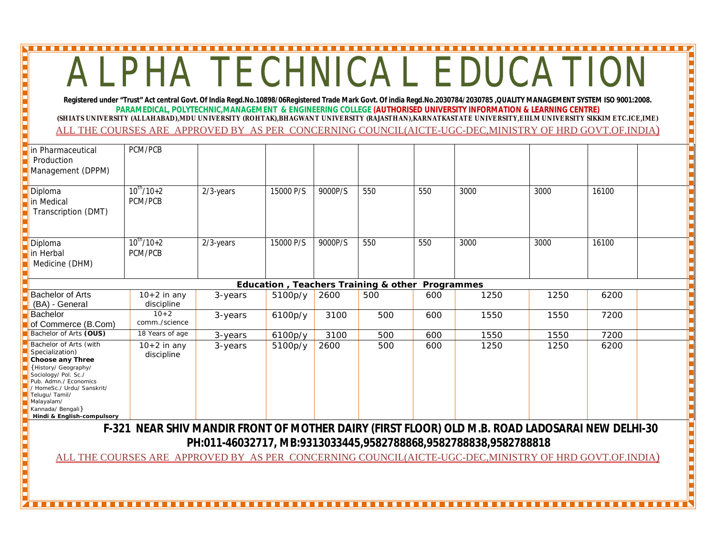**Registered under "Trust" Act central Govt. Of India Regd.No.10898/06Registered Trade Mark Govt. Of india Regd.No.2030784/2030785 ,QUALITY MANAGEMENT SYSTEM ISO 9001:2008. PARAMEDICAL, POLYTECHNIC,MANAGEMENT & ENGINEERING COLLEGE (AUTHORISED UNIVERSITY INFORMATION & LEARNING CENTRE) (SHIATS UNIVERSITY (ALLAHABAD),MDU UNIVERSITY (ROHTAK),BHAGWANT UNIVERSITY (RAJASTHAN),KARNATKASTATE UNIVERSITY,EIILM UNIVERSITY SIKKIM ETC.ICE,IME)** ALL THE COURSES ARE APPROVED BY AS PER CONCERNING COUNCIL(AICTE-UGC-DEC,MINISTRY OF HRD GOVT.OF.INDIA)

| in Pharmaceutical<br>Production<br>Management (DPPM)                                                                                                                                                                                                   | PCM/PCB                                    |              |           |         |                                      |            |      |      |       |  |
|--------------------------------------------------------------------------------------------------------------------------------------------------------------------------------------------------------------------------------------------------------|--------------------------------------------|--------------|-----------|---------|--------------------------------------|------------|------|------|-------|--|
| Diploma<br>in Medical<br>Transcription (DMT)                                                                                                                                                                                                           | $\frac{10^{th}}{10^{th}}$ /10+2<br>PCM/PCB | 2/3-years    | 15000 P/S | 9000P/S | 550                                  | 550        | 3000 | 3000 | 16100 |  |
| Diploma<br>in Herbal<br>Medicine (DHM)                                                                                                                                                                                                                 | $10^{th}/10+2$<br>PCM/PCB                  | $2/3$ -years | 15000 P/S | 9000P/S | 550                                  | 550        | 3000 | 3000 | 16100 |  |
|                                                                                                                                                                                                                                                        |                                            |              |           |         | Education, Teachers Training & other | Programmes |      |      |       |  |
| <b>Bachelor of Arts</b><br>(BA) - General                                                                                                                                                                                                              | $10+2$ in any<br>discipline                | 3-years      | 5100p/y   | 2600    | 500                                  | 600        | 1250 | 1250 | 6200  |  |
| Bachelor<br>of Commerce (B.Com)                                                                                                                                                                                                                        | $10 + 2$<br>comm./science                  | 3-years      | 6100p/y   | 3100    | 500                                  | 600        | 1550 | 1550 | 7200  |  |
| Bachelor of Arts (OUS)                                                                                                                                                                                                                                 | 18 Years of age                            | 3-years      | 6100p/y   | 3100    | 500                                  | 600        | 1550 | 1550 | 7200  |  |
| Bachelor of Arts (with<br>Specialization)<br>Choose any Three<br>{History/ Geography/<br>Sociology/ Pol. Sc./<br>Pub. Admn./ Economics<br>/ HomeSc./ Urdu/ Sanskrit/<br>Telugu/Tamil/<br>Malayalam/<br>Kannada/ Bengali}<br>Hindi & English-compulsory | $10+2$ in any<br>discipline                | 3-years      | 5100p/y   | 2600    | 500                                  | 600        | 1250 | 1250 | 6200  |  |

 **F-321 NEAR SHIV MANDIR FRONT OF MOTHER DAIRY (FIRST FLOOR) OLD M.B. ROAD LADOSARAI NEW DELHI-30 PH:011-46032717, MB:9313033445,9582788868,9582788838,9582788818**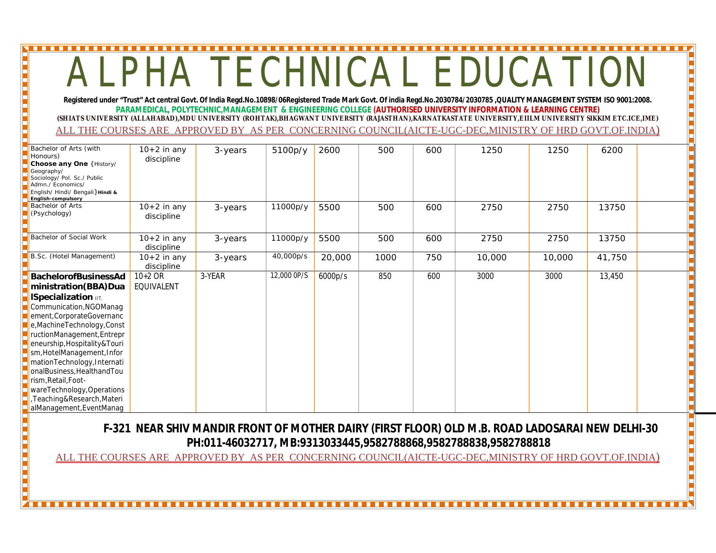**Registered under "Trust" Act central Govt. Of India Regd.No.10898/06Registered Trade Mark Govt. Of india Regd.No.2030784/2030785 ,QUALITY MANAGEMENT SYSTEM ISO 9001:2008. PARAMEDICAL, POLYTECHNIC,MANAGEMENT & ENGINEERING COLLEGE (AUTHORISED UNIVERSITY INFORMATION & LEARNING CENTRE) (SHIATS UNIVERSITY (ALLAHABAD),MDU UNIVERSITY (ROHTAK),BHAGWANT UNIVERSITY (RAJASTHAN),KARNATKASTATE UNIVERSITY,EIILM UNIVERSITY SIKKIM ETC.ICE,IME)** ALL THE COURSES ARE APPROVED BY AS PER CONCERNING COUNCIL(AICTE-UGC-DEC,MINISTRY OF HRD GOVT.OF.INDIA)

| Bachelor of Arts (with<br>Honours)<br>Choose any One { History/<br>Geography/<br>Sociology/ Pol. Sc./ Public<br>Admn./ Economics/<br>English/ Hindi/ Bengali} Hindi &<br>English-compulsory                                                                                                                                                                                                                                         | $10+2$ in any<br>discipline | 3-years | 5100p/y     | 2600    | 500  | 600 | 1250   | 1250   | 6200   |  |
|-------------------------------------------------------------------------------------------------------------------------------------------------------------------------------------------------------------------------------------------------------------------------------------------------------------------------------------------------------------------------------------------------------------------------------------|-----------------------------|---------|-------------|---------|------|-----|--------|--------|--------|--|
| <b>Bachelor of Arts</b><br>(Psychology)                                                                                                                                                                                                                                                                                                                                                                                             | $10+2$ in any<br>discipline | 3-years | 11000p/y    | 5500    | 500  | 600 | 2750   | 2750   | 13750  |  |
| Bachelor of Social Work                                                                                                                                                                                                                                                                                                                                                                                                             | $10+2$ in any<br>discipline | 3-years | 11000p/y    | 5500    | 500  | 600 | 2750   | 2750   | 13750  |  |
| B.Sc. (Hotel Management)                                                                                                                                                                                                                                                                                                                                                                                                            | $10+2$ in any<br>discipline | 3-years | 40,000p/s   | 20,000  | 1000 | 750 | 10,000 | 10,000 | 41,750 |  |
| BachelorofBusinessAd<br>ministration(BBA)Dua<br>ISpecialization (IT,<br>Communication, NGOManag<br>ement, Corporate Governanc<br>e, Machine Technology, Const<br>ructionManagement, Entrepr<br>eneurship, Hospitality& Touri<br>sm, HotelManagement, Infor<br>mationTechnology, Internati<br>onalBusiness, HealthandTou<br>rism.Retail.Foot-<br>wareTechnology, Operations<br>Teaching&Research, Materi<br>alManagement, EventManag | $10+2$ OR<br>EQUIVALENT     | 3-YEAR  | 12,000 OP/S | 6000p/s | 850  | 600 | 3000   | 3000   | 13,450 |  |

 **F-321 NEAR SHIV MANDIR FRONT OF MOTHER DAIRY (FIRST FLOOR) OLD M.B. ROAD LADOSARAI NEW DELHI-30 PH:011-46032717, MB:9313033445,9582788868,9582788838,9582788818**

ALL THE COURSES ARE APPROVED BY AS PER CONCERNING COUNCIL(AICTE-UGC-DEC,MINISTRY OF HRD GOVT.OF.INDIA)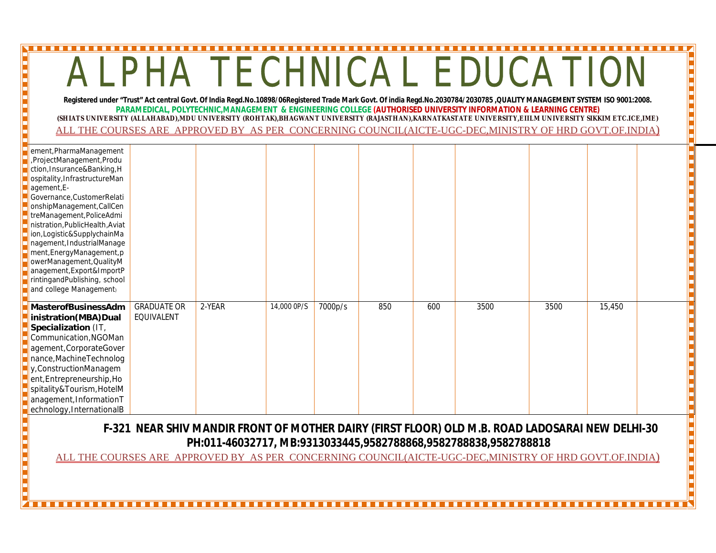**Registered under "Trust" Act central Govt. Of India Regd.No.10898/06Registered Trade Mark Govt. Of india Regd.No.2030784/2030785 ,QUALITY MANAGEMENT SYSTEM ISO 9001:2008. PARAMEDICAL, POLYTECHNIC,MANAGEMENT & ENGINEERING COLLEGE (AUTHORISED UNIVERSITY INFORMATION & LEARNING CENTRE) (SHIATS UNIVERSITY (ALLAHABAD),MDU UNIVERSITY (ROHTAK),BHAGWANT UNIVERSITY (RAJASTHAN),KARNATKASTATE UNIVERSITY,EIILM UNIVERSITY SIKKIM ETC.ICE,IME)** ALL THE COURSES ARE APPROVED BY AS PER CONCERNING COUNCIL(AICTE-UGC-DEC,MINISTRY OF HRD GOVT.OF.INDIA)

| ement, PharmaManagement<br>,ProjectManagement,Produ<br>ction, Insurance&Banking, H<br>ospitality, InfrastructureMan<br>agement, E-<br>Governance, Customer Relati<br>onshipManagement, CallCen<br>treManagement, PoliceAdmi<br>nistration, PublicHealth, Aviat<br>ion, Logistic& SupplychainMa<br>nagement, IndustrialManage<br>ment, EnergyManagement, p<br>owerManagement, QualityM<br>anagement, Export&ImportP<br>rintingandPublishing, school<br>and college Management) |                                  |        |             |         |     |     |      |      |        |  |
|-------------------------------------------------------------------------------------------------------------------------------------------------------------------------------------------------------------------------------------------------------------------------------------------------------------------------------------------------------------------------------------------------------------------------------------------------------------------------------|----------------------------------|--------|-------------|---------|-----|-----|------|------|--------|--|
| MasterofBusinessAdm<br>inistration(MBA)Dual<br>Specialization (IT,<br>Communication, NGOMan<br>agement, CorporateGover<br>nance, Machine Technolog<br>y, Construction Managem<br>ent, Entrepreneurship, Ho<br>spitality&Tourism, HotelM<br>anagement, InformationT<br>echnology, InternationalB                                                                                                                                                                               | <b>GRADUATE OR</b><br>EQUIVALENT | 2-YEAR | 14,000 0P/S | 7000p/s | 850 | 600 | 3500 | 3500 | 15,450 |  |

 **F-321 NEAR SHIV MANDIR FRONT OF MOTHER DAIRY (FIRST FLOOR) OLD M.B. ROAD LADOSARAI NEW DELHI-30 PH:011-46032717, MB:9313033445,9582788868,9582788838,9582788818**

ALL THE COURSES ARE APPROVED BY AS PER CONCERNING COUNCIL(AICTE-UGC-DEC,MINISTRY OF HRD GOVT.OF.INDIA)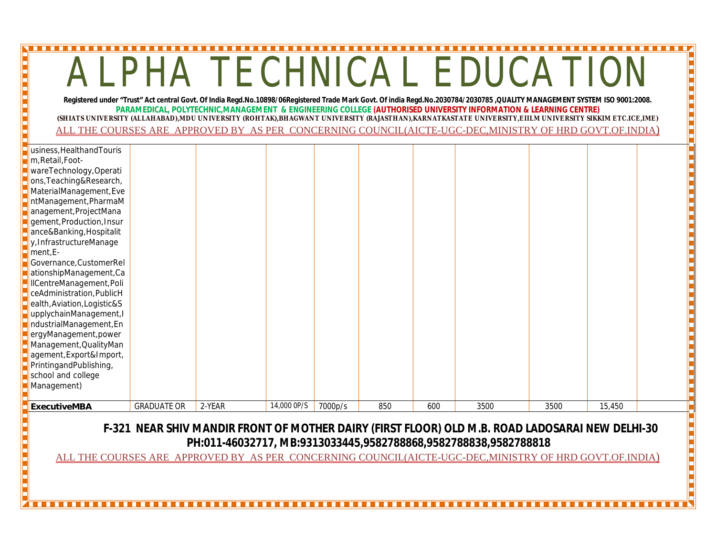| Registered under "Trust" Act central Govt. Of India Regd.No.10898/06Registered Trade Mark Govt. Of india Regd.No.2030784/2030785 ,QUALITY MANAGEMENT SYSTEM ISO 9001:2008.<br>PARAMEDICAL, POLYTECHNIC, MANAGEMENT & ENGINEERING COLLEGE (AUTHORISED UNIVERSITY INFORMATION & LEARNING CENTRE)<br>(SHIATS UNIVERSITY (ALLAHABAD),MDU UNIVERSITY (ROHTAK),BHAGWANT UNIVERSITY (RAJASTHAN),KARNATKASTATE UNIVERSITY,EIILM UNIVERSITY SIKKIM ETC.ICE,IME) |                    |        |             |         |     |     |      |      |        |  |
|--------------------------------------------------------------------------------------------------------------------------------------------------------------------------------------------------------------------------------------------------------------------------------------------------------------------------------------------------------------------------------------------------------------------------------------------------------|--------------------|--------|-------------|---------|-----|-----|------|------|--------|--|
|                                                                                                                                                                                                                                                                                                                                                                                                                                                        |                    |        |             |         |     |     |      |      |        |  |
| ALL THE COURSES ARE APPROVED BY AS PER CONCERNING COUNCIL(AICTE-UGC-DEC, MINISTRY OF HRD GOVT.OF.INDIA)                                                                                                                                                                                                                                                                                                                                                |                    |        |             |         |     |     |      |      |        |  |
|                                                                                                                                                                                                                                                                                                                                                                                                                                                        |                    |        |             |         |     |     |      |      |        |  |
| usiness, Healthand Touris                                                                                                                                                                                                                                                                                                                                                                                                                              |                    |        |             |         |     |     |      |      |        |  |
| m, Retail, Foot-                                                                                                                                                                                                                                                                                                                                                                                                                                       |                    |        |             |         |     |     |      |      |        |  |
| wareTechnology, Operati                                                                                                                                                                                                                                                                                                                                                                                                                                |                    |        |             |         |     |     |      |      |        |  |
| ons, Teaching&Research,                                                                                                                                                                                                                                                                                                                                                                                                                                |                    |        |             |         |     |     |      |      |        |  |
| MaterialManagement, Eve                                                                                                                                                                                                                                                                                                                                                                                                                                |                    |        |             |         |     |     |      |      |        |  |
| ntManagement, PharmaM                                                                                                                                                                                                                                                                                                                                                                                                                                  |                    |        |             |         |     |     |      |      |        |  |
| anagement, ProjectMana                                                                                                                                                                                                                                                                                                                                                                                                                                 |                    |        |             |         |     |     |      |      |        |  |
| gement, Production, Insur                                                                                                                                                                                                                                                                                                                                                                                                                              |                    |        |             |         |     |     |      |      |        |  |
| ance&Banking, Hospitalit                                                                                                                                                                                                                                                                                                                                                                                                                               |                    |        |             |         |     |     |      |      |        |  |
| y, InfrastructureManage                                                                                                                                                                                                                                                                                                                                                                                                                                |                    |        |             |         |     |     |      |      |        |  |
| ment, E-                                                                                                                                                                                                                                                                                                                                                                                                                                               |                    |        |             |         |     |     |      |      |        |  |
| Governance, CustomerRel                                                                                                                                                                                                                                                                                                                                                                                                                                |                    |        |             |         |     |     |      |      |        |  |
| ationshipManagement, Ca                                                                                                                                                                                                                                                                                                                                                                                                                                |                    |        |             |         |     |     |      |      |        |  |
| IlCentreManagement, Poli                                                                                                                                                                                                                                                                                                                                                                                                                               |                    |        |             |         |     |     |      |      |        |  |
| ceAdministration, PublicH                                                                                                                                                                                                                                                                                                                                                                                                                              |                    |        |             |         |     |     |      |      |        |  |
| ealth, Aviation, Logistic&S                                                                                                                                                                                                                                                                                                                                                                                                                            |                    |        |             |         |     |     |      |      |        |  |
| upplychainManagement, I                                                                                                                                                                                                                                                                                                                                                                                                                                |                    |        |             |         |     |     |      |      |        |  |
| ndustrialManagement, En                                                                                                                                                                                                                                                                                                                                                                                                                                |                    |        |             |         |     |     |      |      |        |  |
| ergyManagement, power                                                                                                                                                                                                                                                                                                                                                                                                                                  |                    |        |             |         |     |     |      |      |        |  |
| Management, QualityMan                                                                                                                                                                                                                                                                                                                                                                                                                                 |                    |        |             |         |     |     |      |      |        |  |
| agement, Export& Import,                                                                                                                                                                                                                                                                                                                                                                                                                               |                    |        |             |         |     |     |      |      |        |  |
| PrintingandPublishing,<br>school and college                                                                                                                                                                                                                                                                                                                                                                                                           |                    |        |             |         |     |     |      |      |        |  |
| Management)                                                                                                                                                                                                                                                                                                                                                                                                                                            |                    |        |             |         |     |     |      |      |        |  |
|                                                                                                                                                                                                                                                                                                                                                                                                                                                        |                    |        |             |         |     |     |      |      |        |  |
| ExecutiveMBA                                                                                                                                                                                                                                                                                                                                                                                                                                           | <b>GRADUATE OR</b> | 2-YEAR | 14,000 OP/S | 7000p/s | 850 | 600 | 3500 | 3500 | 15,450 |  |
|                                                                                                                                                                                                                                                                                                                                                                                                                                                        |                    |        |             |         |     |     |      |      |        |  |

ALPHA TECHNICAL EDUCATION

. . . .

 **F-321 NEAR SHIV MANDIR FRONT OF MOTHER DAIRY (FIRST FLOOR) OLD M.B. ROAD LADOSARAI NEW DELHI-30 PH:011-46032717, MB:9313033445,9582788868,9582788838,9582788818**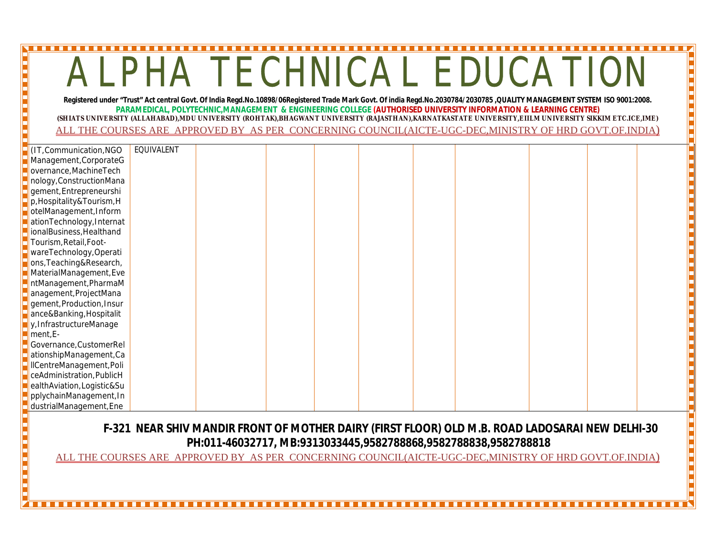**Registered under "Trust" Act central Govt. Of India Regd.No.10898/06Registered Trade Mark Govt. Of india Regd.No.2030784/2030785 ,QUALITY MANAGEMENT SYSTEM ISO 9001:2008. PARAMEDICAL, POLYTECHNIC,MANAGEMENT & ENGINEERING COLLEGE (AUTHORISED UNIVERSITY INFORMATION & LEARNING CENTRE) (SHIATS UNIVERSITY (ALLAHABAD),MDU UNIVERSITY (ROHTAK),BHAGWANT UNIVERSITY (RAJASTHAN),KARNATKASTATE UNIVERSITY,EIILM UNIVERSITY SIKKIM ETC.ICE,IME)** ALL THE COURSES ARE APPROVED BY AS PER CONCERNING COUNCIL(AICTE-UGC-DEC,MINISTRY OF HRD GOVT.OF.INDIA)

| (IT, Communication, NGO    | EQUIVALENT |  |  |  |  |
|----------------------------|------------|--|--|--|--|
| Management, CorporateG     |            |  |  |  |  |
| overnance, Machine Tech    |            |  |  |  |  |
| nology, ConstructionMana   |            |  |  |  |  |
| gement, Entrepreneurshi    |            |  |  |  |  |
| p, Hospitality&Tourism, H  |            |  |  |  |  |
| otelManagement, Inform     |            |  |  |  |  |
| ationTechnology, Internat  |            |  |  |  |  |
| ionalBusiness, Healthand   |            |  |  |  |  |
| Tourism, Retail, Foot-     |            |  |  |  |  |
| wareTechnology,Operati     |            |  |  |  |  |
| ons, Teaching&Research,    |            |  |  |  |  |
| MaterialManagement, Eve    |            |  |  |  |  |
| ntManagement, PharmaM      |            |  |  |  |  |
| anagement, ProjectMana     |            |  |  |  |  |
| gement, Production, Insur  |            |  |  |  |  |
| ance&Banking, Hospitalit   |            |  |  |  |  |
| y, InfrastructureManage    |            |  |  |  |  |
| ment, E-                   |            |  |  |  |  |
| Governance, CustomerRel    |            |  |  |  |  |
| ationshipManagement, Ca    |            |  |  |  |  |
| IICentreManagement, Poli   |            |  |  |  |  |
| ceAdministration, PublicH  |            |  |  |  |  |
| ealthAviation, Logistic&Su |            |  |  |  |  |
| pplychainManagement, In    |            |  |  |  |  |
| dustrialManagement, Ene    |            |  |  |  |  |

 **F-321 NEAR SHIV MANDIR FRONT OF MOTHER DAIRY (FIRST FLOOR) OLD M.B. ROAD LADOSARAI NEW DELHI-30 PH:011-46032717, MB:9313033445,9582788868,9582788838,9582788818**

ALL THE COURSES ARE APPROVED BY AS PER CONCERNING COUNCIL(AICTE-UGC-DEC,MINISTRY OF HRD GOVT.OF.INDIA)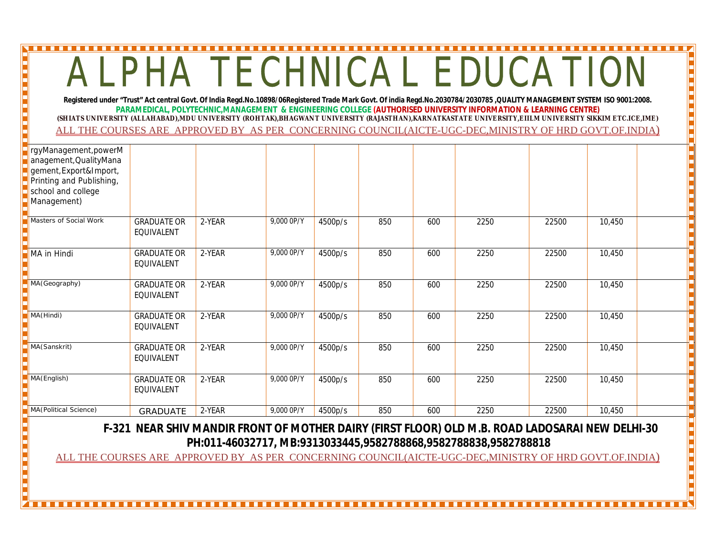**Registered under "Trust" Act central Govt. Of India Regd.No.10898/06Registered Trade Mark Govt. Of india Regd.No.2030784/2030785 ,QUALITY MANAGEMENT SYSTEM ISO 9001:2008. PARAMEDICAL, POLYTECHNIC,MANAGEMENT & ENGINEERING COLLEGE (AUTHORISED UNIVERSITY INFORMATION & LEARNING CENTRE) (SHIATS UNIVERSITY (ALLAHABAD),MDU UNIVERSITY (ROHTAK),BHAGWANT UNIVERSITY (RAJASTHAN),KARNATKASTATE UNIVERSITY,EIILM UNIVERSITY SIKKIM ETC.ICE,IME)** ALL THE COURSES ARE APPROVED BY AS PER CONCERNING COUNCIL(AICTE-UGC-DEC,MINISTRY OF HRD GOVT.OF.INDIA)

| rgyManagement, powerM<br>anagement, QualityMana<br>gement, Export&Import,<br>Printing and Publishing,<br>school and college<br>Management) |                                  |        |            |         |     |     |      |       |        |  |
|--------------------------------------------------------------------------------------------------------------------------------------------|----------------------------------|--------|------------|---------|-----|-----|------|-------|--------|--|
| Masters of Social Work                                                                                                                     | <b>GRADUATE OR</b><br>EQUIVALENT | 2-YEAR | 9,000 0P/Y | 4500p/s | 850 | 600 | 2250 | 22500 | 10,450 |  |
| MA in Hindi                                                                                                                                | <b>GRADUATE OR</b><br>EQUIVALENT | 2-YEAR | 9,000 0P/Y | 4500p/s | 850 | 600 | 2250 | 22500 | 10,450 |  |
| MA(Geography)                                                                                                                              | <b>GRADUATE OR</b><br>EQUIVALENT | 2-YEAR | 9,000 0P/Y | 4500p/s | 850 | 600 | 2250 | 22500 | 10,450 |  |
| MA(Hindi)                                                                                                                                  | <b>GRADUATE OR</b><br>EQUIVALENT | 2-YEAR | 9,000 0P/Y | 4500p/s | 850 | 600 | 2250 | 22500 | 10,450 |  |
| MA(Sanskrit)                                                                                                                               | <b>GRADUATE OR</b><br>EQUIVALENT | 2-YEAR | 9,000 0P/Y | 4500p/s | 850 | 600 | 2250 | 22500 | 10,450 |  |
| MA(English)                                                                                                                                | <b>GRADUATE OR</b><br>EQUIVALENT | 2-YEAR | 9,000 0P/Y | 4500p/s | 850 | 600 | 2250 | 22500 | 10,450 |  |
| MA(Political Science)                                                                                                                      | <b>GRADUATE</b>                  | 2-YEAR | 9,000 0P/Y | 4500p/s | 850 | 600 | 2250 | 22500 | 10,450 |  |

 **F-321 NEAR SHIV MANDIR FRONT OF MOTHER DAIRY (FIRST FLOOR) OLD M.B. ROAD LADOSARAI NEW DELHI-30 PH:011-46032717, MB:9313033445,9582788868,9582788838,9582788818**

ALL THE COURSES ARE APPROVED BY AS PER CONCERNING COUNCIL(AICTE-UGC-DEC,MINISTRY OF HRD GOVT.OF.INDIA)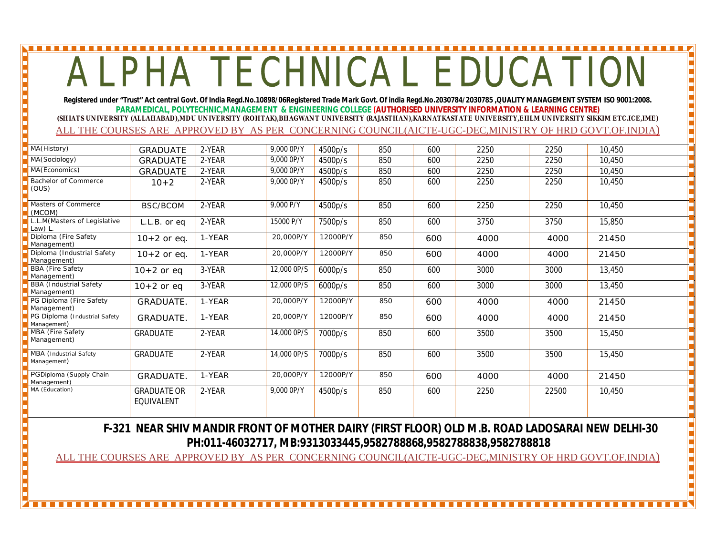**Registered under "Trust" Act central Govt. Of India Regd.No.10898/06Registered Trade Mark Govt. Of india Regd.No.2030784/2030785 ,QUALITY MANAGEMENT SYSTEM ISO 9001:2008. PARAMEDICAL, POLYTECHNIC,MANAGEMENT & ENGINEERING COLLEGE (AUTHORISED UNIVERSITY INFORMATION & LEARNING CENTRE) (SHIATS UNIVERSITY (ALLAHABAD),MDU UNIVERSITY (ROHTAK),BHAGWANT UNIVERSITY (RAJASTHAN),KARNATKASTATE UNIVERSITY,EIILM UNIVERSITY SIKKIM ETC.ICE,IME)** ALL THE COURSES ARE APPROVED BY AS PER CONCERNING COUNCIL(AICTE-UGC-DEC,MINISTRY OF HRD GOVT.OF.INDIA)

| MA(History)                                  | <b>GRADUATE</b>                  | 2-YEAR | 9,000 0P/Y  | 4500p/s  | 850 | 600 | 2250 | 2250  | 10,450 |
|----------------------------------------------|----------------------------------|--------|-------------|----------|-----|-----|------|-------|--------|
| MA(Sociology)                                | <b>GRADUATE</b>                  | 2-YEAR | 9,000 0P/Y  | 4500p/s  | 850 | 600 | 2250 | 2250  | 10,450 |
| MA(Economics)                                | <b>GRADUATE</b>                  | 2-YEAR | 9.000 0P/Y  | 4500p/s  | 850 | 600 | 2250 | 2250  | 10,450 |
| Bachelor of Commerce<br>(OUS)                | $10 + 2$                         | 2-YEAR | 9,000 0P/Y  | 4500p/s  | 850 | 600 | 2250 | 2250  | 10,450 |
| Masters of Commerce<br>(MCOM)                | BSC/BCOM                         | 2-YEAR | 9,000 P/Y   | 4500p/s  | 850 | 600 | 2250 | 2250  | 10,450 |
| L.L.M(Masters of Legislative<br>Law) L.      | L.L.B. or eq                     | 2-YEAR | 15000 P/Y   | 7500p/s  | 850 | 600 | 3750 | 3750  | 15,850 |
| Diploma (Fire Safety<br>Management)          | $10+2$ or eq.                    | 1-YEAR | 20,000P/Y   | 12000P/Y | 850 | 600 | 4000 | 4000  | 21450  |
| Diploma (Industrial Safety<br>Management)    | $10+2$ or eq.                    | 1-YEAR | 20,000P/Y   | 12000P/Y | 850 | 600 | 4000 | 4000  | 21450  |
| <b>BBA (Fire Safety</b><br>Management)       | $10+2$ or eq                     | 3-YEAR | 12,000 OP/S | 6000p/s  | 850 | 600 | 3000 | 3000  | 13,450 |
| <b>BBA</b> (Industrial Safety<br>Management) | $10+2$ or eq                     | 3-YEAR | 12,000 OP/S | 6000p/s  | 850 | 600 | 3000 | 3000  | 13,450 |
| PG Diploma (Fire Safety<br>Management)       | GRADUATE.                        | 1-YEAR | 20,000P/Y   | 12000P/Y | 850 | 600 | 4000 | 4000  | 21450  |
| PG Diploma (Industrial Safety<br>Management) | GRADUATE.                        | 1-YEAR | 20,000P/Y   | 12000P/Y | 850 | 600 | 4000 | 4000  | 21450  |
| MBA (Fire Safety<br>Management)              | <b>GRADUATE</b>                  | 2-YEAR | 14,000 OP/S | 7000p/s  | 850 | 600 | 3500 | 3500  | 15,450 |
| MBA (Industrial Safety<br>Management)        | <b>GRADUATE</b>                  | 2-YEAR | 14,000 OP/S | 7000p/s  | 850 | 600 | 3500 | 3500  | 15,450 |
| PGDiploma (Supply Chain<br>Management)       | GRADUATE.                        | 1-YEAR | 20,000P/Y   | 12000P/Y | 850 | 600 | 4000 | 4000  | 21450  |
| MA (Education)                               | <b>GRADUATE OR</b><br>EQUIVALENT | 2-YEAR | 9,000 0P/Y  | 4500p/s  | 850 | 600 | 2250 | 22500 | 10,450 |

 **F-321 NEAR SHIV MANDIR FRONT OF MOTHER DAIRY (FIRST FLOOR) OLD M.B. ROAD LADOSARAI NEW DELHI-30 PH:011-46032717, MB:9313033445,9582788868,9582788838,9582788818**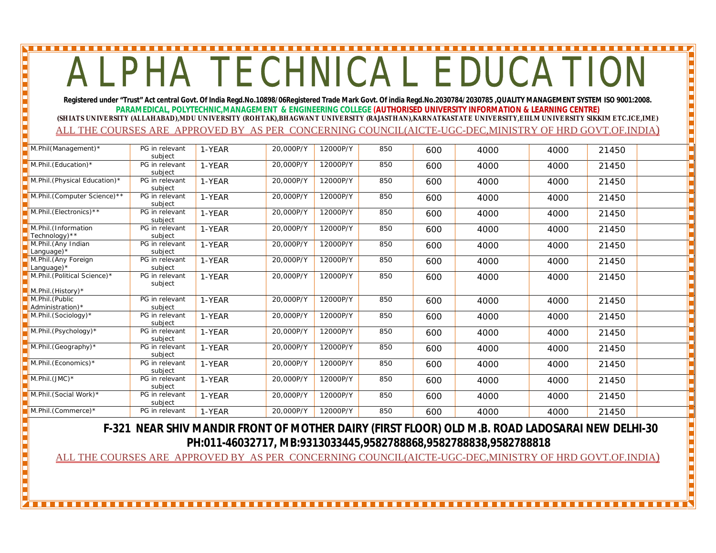**Registered under "Trust" Act central Govt. Of India Regd.No.10898/06Registered Trade Mark Govt. Of india Regd.No.2030784/2030785 ,QUALITY MANAGEMENT SYSTEM ISO 9001:2008. PARAMEDICAL, POLYTECHNIC,MANAGEMENT & ENGINEERING COLLEGE (AUTHORISED UNIVERSITY INFORMATION & LEARNING CENTRE) (SHIATS UNIVERSITY (ALLAHABAD),MDU UNIVERSITY (ROHTAK),BHAGWANT UNIVERSITY (RAJASTHAN),KARNATKASTATE UNIVERSITY,EIILM UNIVERSITY SIKKIM ETC.ICE,IME)** ALL THE COURSES ARE APPROVED BY AS PER CONCERNING COUNCIL(AICTE-UGC-DEC,MINISTRY OF HRD GOVT.OF.INDIA)

| M.Phil(Management)*                               | PG in relevant            | 1-YEAR | 20,000P/Y | 12000P/Y | 850 | 600 | 4000 | 4000 | 21450 |  |
|---------------------------------------------------|---------------------------|--------|-----------|----------|-----|-----|------|------|-------|--|
|                                                   | subject                   |        |           |          |     |     |      |      |       |  |
| M.Phil.(Education)*                               | PG in relevant<br>subject | 1-YEAR | 20,000P/Y | 12000P/Y | 850 | 600 | 4000 | 4000 | 21450 |  |
| M.Phil. (Physical Education)*                     | PG in relevant<br>subject | 1-YEAR | 20,000P/Y | 12000P/Y | 850 | 600 | 4000 | 4000 | 21450 |  |
| M.Phil. (Computer Science) **                     | PG in relevant<br>subject | 1-YEAR | 20,000P/Y | 12000P/Y | 850 | 600 | 4000 | 4000 | 21450 |  |
| M.Phil. (Electronics) **                          | PG in relevant<br>subject | 1-YEAR | 20,000P/Y | 12000P/Y | 850 | 600 | 4000 | 4000 | 21450 |  |
| M.Phil.(Information<br>Technology) **             | PG in relevant<br>subject | 1-YEAR | 20,000P/Y | 12000P/Y | 850 | 600 | 4000 | 4000 | 21450 |  |
| M.Phil.(Any Indian<br>Language)*                  | PG in relevant<br>subject | 1-YEAR | 20,000P/Y | 12000P/Y | 850 | 600 | 4000 | 4000 | 21450 |  |
| M.Phil.(Any Foreign<br>Language $)*$              | PG in relevant<br>subject | 1-YEAR | 20,000P/Y | 12000P/Y | 850 | 600 | 4000 | 4000 | 21450 |  |
| M.Phil. (Political Science)*<br>M.Phil.(History)* | PG in relevant<br>subject | 1-YEAR | 20,000P/Y | 12000P/Y | 850 | 600 | 4000 | 4000 | 21450 |  |
| M.Phil. (Public<br>Administration)*               | PG in relevant<br>subject | 1-YEAR | 20,000P/Y | 12000P/Y | 850 | 600 | 4000 | 4000 | 21450 |  |
| M.Phil. (Sociology)*                              | PG in relevant<br>subject | 1-YEAR | 20,000P/Y | 12000P/Y | 850 | 600 | 4000 | 4000 | 21450 |  |
| M.Phil.(Psychology)*                              | PG in relevant<br>subject | 1-YEAR | 20,000P/Y | 12000P/Y | 850 | 600 | 4000 | 4000 | 21450 |  |
| M.Phil.(Geography)*                               | PG in relevant<br>subject | 1-YEAR | 20,000P/Y | 12000P/Y | 850 | 600 | 4000 | 4000 | 21450 |  |
| M.Phil.(Economics)*                               | PG in relevant<br>subject | 1-YEAR | 20,000P/Y | 12000P/Y | 850 | 600 | 4000 | 4000 | 21450 |  |
| $M.Phil.(JMC)*$                                   | PG in relevant<br>subject | 1-YEAR | 20,000P/Y | 12000P/Y | 850 | 600 | 4000 | 4000 | 21450 |  |
| M.Phil. (Social Work)*                            | PG in relevant<br>subject | 1-YEAR | 20,000P/Y | 12000P/Y | 850 | 600 | 4000 | 4000 | 21450 |  |
| M.Phil.(Commerce)*                                | PG in relevant            | 1-YEAR | 20,000P/Y | 12000P/Y | 850 | 600 | 4000 | 4000 | 21450 |  |

 **F-321 NEAR SHIV MANDIR FRONT OF MOTHER DAIRY (FIRST FLOOR) OLD M.B. ROAD LADOSARAI NEW DELHI-30 PH:011-46032717, MB:9313033445,9582788868,9582788838,9582788818**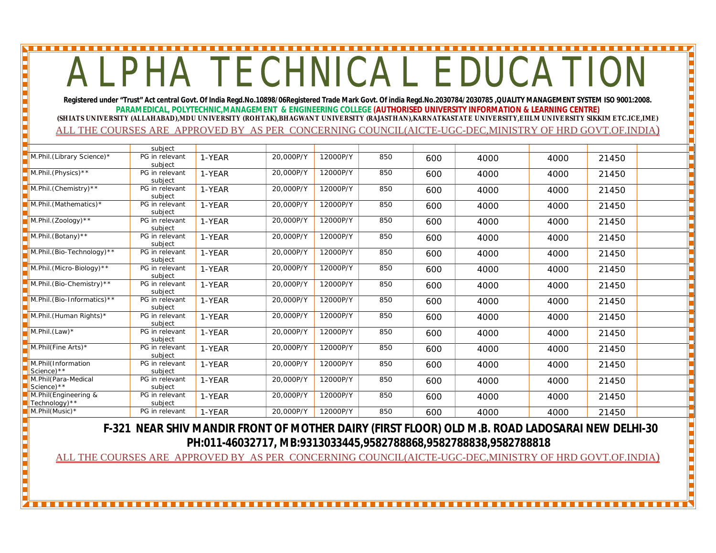**Registered under "Trust" Act central Govt. Of India Regd.No.10898/06Registered Trade Mark Govt. Of india Regd.No.2030784/2030785 ,QUALITY MANAGEMENT SYSTEM ISO 9001:2008. PARAMEDICAL, POLYTECHNIC,MANAGEMENT & ENGINEERING COLLEGE (AUTHORISED UNIVERSITY INFORMATION & LEARNING CENTRE) (SHIATS UNIVERSITY (ALLAHABAD),MDU UNIVERSITY (ROHTAK),BHAGWANT UNIVERSITY (RAJASTHAN),KARNATKASTATE UNIVERSITY,EIILM UNIVERSITY SIKKIM ETC.ICE,IME)** ALL THE COURSES ARE APPROVED BY AS PER CONCERNING COUNCIL(AICTE-UGC-DEC,MINISTRY OF HRD GOVT.OF.INDIA)

|                                        | subject                   |        |           |          |     |     |      |      |       |  |
|----------------------------------------|---------------------------|--------|-----------|----------|-----|-----|------|------|-------|--|
| M.Phil. (Library Science)*             | PG in relevant<br>subject | 1-YEAR | 20,000P/Y | 12000P/Y | 850 | 600 | 4000 | 4000 | 21450 |  |
| M.Phil.(Physics) **                    | PG in relevant<br>subject | 1-YEAR | 20,000P/Y | 12000P/Y | 850 | 600 | 4000 | 4000 | 21450 |  |
| M.Phil.(Chemistry) **                  | PG in relevant<br>subject | 1-YEAR | 20,000P/Y | 12000P/Y | 850 | 600 | 4000 | 4000 | 21450 |  |
| M.Phil.(Mathematics)*                  | PG in relevant<br>subject | 1-YEAR | 20,000P/Y | 12000P/Y | 850 | 600 | 4000 | 4000 | 21450 |  |
| M.Phil. $(Zoology)**$                  | PG in relevant<br>subject | 1-YEAR | 20,000P/Y | 12000P/Y | 850 | 600 | 4000 | 4000 | 21450 |  |
| M.Phil.(Botany) **                     | PG in relevant<br>subject | 1-YEAR | 20,000P/Y | 12000P/Y | 850 | 600 | 4000 | 4000 | 21450 |  |
| M.Phil.(Bio-Technology)**              | PG in relevant<br>subject | 1-YEAR | 20,000P/Y | 12000P/Y | 850 | 600 | 4000 | 4000 | 21450 |  |
| M.Phil.(Micro-Biology)**               | PG in relevant<br>subject | 1-YEAR | 20,000P/Y | 12000P/Y | 850 | 600 | 4000 | 4000 | 21450 |  |
| M.Phil.(Bio-Chemistry) **              | PG in relevant<br>subject | 1-YEAR | 20,000P/Y | 12000P/Y | 850 | 600 | 4000 | 4000 | 21450 |  |
| M.Phil.(Bio-Informatics)**             | PG in relevant<br>subject | 1-YEAR | 20,000P/Y | 12000P/Y | 850 | 600 | 4000 | 4000 | 21450 |  |
| M.Phil. (Human Rights)*                | PG in relevant<br>subject | 1-YEAR | 20,000P/Y | 12000P/Y | 850 | 600 | 4000 | 4000 | 21450 |  |
| M.Phil. $(Law)^*$                      | PG in relevant<br>subject | 1-YEAR | 20,000P/Y | 12000P/Y | 850 | 600 | 4000 | 4000 | 21450 |  |
| M.Phil(Fine Arts)*                     | PG in relevant<br>subject | 1-YEAR | 20,000P/Y | 12000P/Y | 850 | 600 | 4000 | 4000 | 21450 |  |
| M.Phil(Information<br>Science) **      | PG in relevant<br>subject | 1-YEAR | 20,000P/Y | 12000P/Y | 850 | 600 | 4000 | 4000 | 21450 |  |
| M.Phil(Para-Medical<br>Science) **     | PG in relevant<br>subject | 1-YEAR | 20,000P/Y | 12000P/Y | 850 | 600 | 4000 | 4000 | 21450 |  |
| M.Phil(Engineering &<br>Technology) ** | PG in relevant<br>subject | 1-YEAR | 20,000P/Y | 12000P/Y | 850 | 600 | 4000 | 4000 | 21450 |  |
| M.Phil(Music)*                         | PG in relevant            | 1-YEAR | 20,000P/Y | 12000P/Y | 850 | 600 | 4000 | 4000 | 21450 |  |

 **F-321 NEAR SHIV MANDIR FRONT OF MOTHER DAIRY (FIRST FLOOR) OLD M.B. ROAD LADOSARAI NEW DELHI-30 PH:011-46032717, MB:9313033445,9582788868,9582788838,9582788818**

ALL THE COURSES ARE APPROVED BY AS PER CONCERNING COUNCIL(AICTE-UGC-DEC,MINISTRY OF HRD GOVT.OF.INDIA)